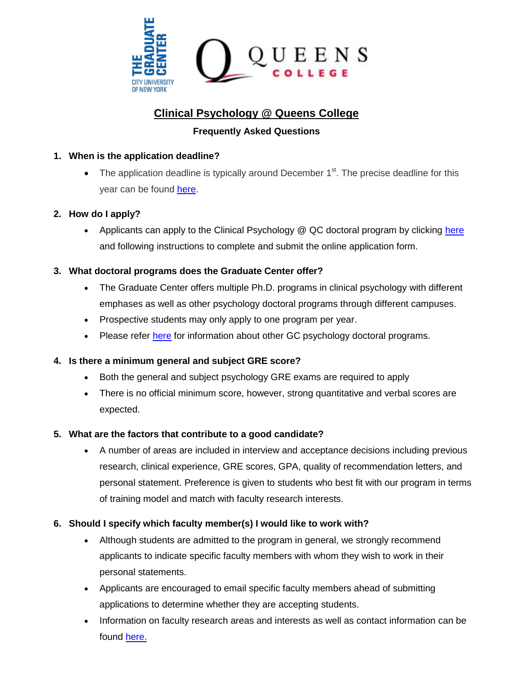

## **Clinical Psychology @ Queens College**

## **Frequently Asked Questions**

## **1. When is the application deadline?**

 $\bullet$  The application deadline is typically around December 1<sup>st</sup>. The precise deadline for this year can be found [here.](http://www.gc.cuny.edu/Prospective-Current-Students/Prospective-Students/Program-Application-2017-Deadlines-Requirements)

### **2. How do I apply?**

• Applicants can apply to the Clinical Psychology @ QC doctoral program by clicking [here](http://www.gc.cuny.edu/Prospective-Current-Students/Prospective-Students/Admissions) and following instructions to complete and submit the online application form.

### **3. What doctoral programs does the Graduate Center offer?**

- The Graduate Center offers multiple Ph.D. programs in clinical psychology with different emphases as well as other psychology doctoral programs through different campuses.
- Prospective students may only apply to one program per year.
- Please refer [here](http://www.gc.cuny.edu/Page-Elements/Academics-Research-Centers-Initiatives/Doctoral-Programs/Psychology) for information about other GC psychology doctoral programs.

## **4. Is there a minimum general and subject GRE score?**

- Both the general and subject psychology GRE exams are required to apply
- There is no official minimum score, however, strong quantitative and verbal scores are expected.

#### **5. What are the factors that contribute to a good candidate?**

 A number of areas are included in interview and acceptance decisions including previous research, clinical experience, GRE scores, GPA, quality of recommendation letters, and personal statement. Preference is given to students who best fit with our program in terms of training model and match with faculty research interests.

#### **6. Should I specify which faculty member(s) I would like to work with?**

- Although students are admitted to the program in general, we strongly recommend applicants to indicate specific faculty members with whom they wish to work in their personal statements.
- Applicants are encouraged to email specific faculty members ahead of submitting applications to determine whether they are accepting students.
- Information on faculty research areas and interests as well as contact information can be found [here.](http://www.gc.cuny.edu/Page-Elements/Academics-Research-Centers-Initiatives/Doctoral-Programs/Psychology/Training-Areas/Clinical-Psychology-@-Queens-College/Clinical-Psychology-@-Queens-College-Faculty)